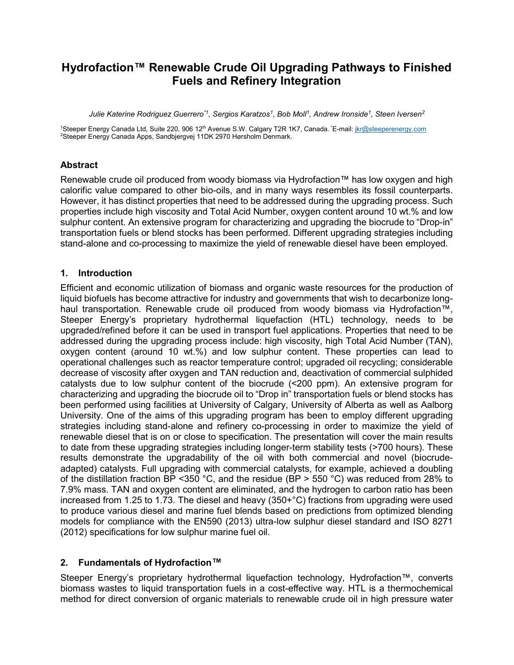# Hydrofaction™ Renewable Crude Oil Upgrading Pathways to Finished Fuels and Refinery Integration

Julie Katerine Rodriguez Guerrero<sup>\*1</sup>, Sergios Karatzos<sup>1</sup>, Bob Moll<sup>1</sup>, Andrew Ironside<sup>1</sup>, Steen Iversen<sup>2</sup>

<sup>1</sup>Steeper Energy Canada Ltd, Suite 220, 906 12<sup>th</sup> Avenue S.W. Calgary T2R 1K7, Canada. <sup>\*</sup>E-mail: jkr@steeperenergy.com <sup>2</sup>Steeper Energy Canada Apps, Sandbjergvej 11DK 2970 Hørsholm Denmark.

### Abstract

Renewable crude oil produced from woody biomass via Hydrofaction™ has low oxygen and high calorific value compared to other bio-oils, and in many ways resembles its fossil counterparts. However, it has distinct properties that need to be addressed during the upgrading process. Such properties include high viscosity and Total Acid Number, oxygen content around 10 wt.% and low sulphur content. An extensive program for characterizing and upgrading the biocrude to "Drop-in" transportation fuels or blend stocks has been performed. Different upgrading strategies including stand-alone and co-processing to maximize the yield of renewable diesel have been employed.

### 1. Introduction

Efficient and economic utilization of biomass and organic waste resources for the production of liquid biofuels has become attractive for industry and governments that wish to decarbonize longhaul transportation. Renewable crude oil produced from woody biomass via Hydrofaction™, Steeper Energy's proprietary hydrothermal liquefaction (HTL) technology, needs to be upgraded/refined before it can be used in transport fuel applications. Properties that need to be addressed during the upgrading process include: high viscosity, high Total Acid Number (TAN), oxygen content (around 10 wt.%) and low sulphur content. These properties can lead to operational challenges such as reactor temperature control; upgraded oil recycling; considerable decrease of viscosity after oxygen and TAN reduction and, deactivation of commercial sulphided catalysts due to low sulphur content of the biocrude (<200 ppm). An extensive program for characterizing and upgrading the biocrude oil to "Drop in" transportation fuels or blend stocks has been performed using facilities at University of Calgary, University of Alberta as well as Aalborg University. One of the aims of this upgrading program has been to employ different upgrading strategies including stand-alone and refinery co-processing in order to maximize the yield of renewable diesel that is on or close to specification. The presentation will cover the main results to date from these upgrading strategies including longer-term stability tests (>700 hours). These results demonstrate the upgradability of the oil with both commercial and novel (biocrudeadapted) catalysts. Full upgrading with commercial catalysts, for example, achieved a doubling of the distillation fraction BP <350 °C, and the residue (BP > 550 °C) was reduced from 28% to 7.9% mass. TAN and oxygen content are eliminated, and the hydrogen to carbon ratio has been increased from 1.25 to 1.73. The diesel and heavy (350+°C) fractions from upgrading were used to produce various diesel and marine fuel blends based on predictions from optimized blending models for compliance with the EN590 (2013) ultra-low sulphur diesel standard and ISO 8271 (2012) specifications for low sulphur marine fuel oil.

#### 2. Fundamentals of Hydrofaction™

Steeper Energy's proprietary hydrothermal liquefaction technology, Hydrofaction™, converts biomass wastes to liquid transportation fuels in a cost-effective way. HTL is a thermochemical method for direct conversion of organic materials to renewable crude oil in high pressure water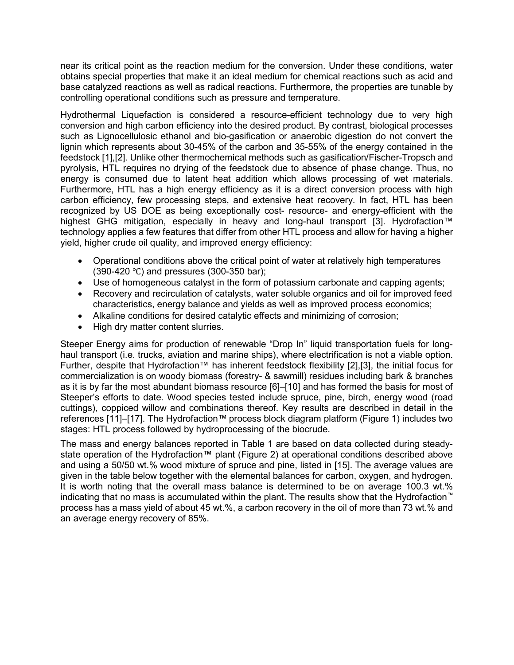near its critical point as the reaction medium for the conversion. Under these conditions, water obtains special properties that make it an ideal medium for chemical reactions such as acid and base catalyzed reactions as well as radical reactions. Furthermore, the properties are tunable by controlling operational conditions such as pressure and temperature.

Hydrothermal Liquefaction is considered a resource-efficient technology due to very high conversion and high carbon efficiency into the desired product. By contrast, biological processes such as Lignocellulosic ethanol and bio-gasification or anaerobic digestion do not convert the lignin which represents about 30-45% of the carbon and 35-55% of the energy contained in the feedstock [1],[2]. Unlike other thermochemical methods such as gasification/Fischer-Tropsch and pyrolysis, HTL requires no drying of the feedstock due to absence of phase change. Thus, no energy is consumed due to latent heat addition which allows processing of wet materials. Furthermore, HTL has a high energy efficiency as it is a direct conversion process with high carbon efficiency, few processing steps, and extensive heat recovery. In fact, HTL has been recognized by US DOE as being exceptionally cost- resource- and energy-efficient with the highest GHG mitigation, especially in heavy and long-haul transport [3]. Hydrofaction™ technology applies a few features that differ from other HTL process and allow for having a higher yield, higher crude oil quality, and improved energy efficiency:

- Operational conditions above the critical point of water at relatively high temperatures (390-420 ℃) and pressures (300-350 bar);
- Use of homogeneous catalyst in the form of potassium carbonate and capping agents;
- Recovery and recirculation of catalysts, water soluble organics and oil for improved feed characteristics, energy balance and yields as well as improved process economics;
- Alkaline conditions for desired catalytic effects and minimizing of corrosion;
- High dry matter content slurries.

Steeper Energy aims for production of renewable "Drop In" liquid transportation fuels for longhaul transport (i.e. trucks, aviation and marine ships), where electrification is not a viable option. Further, despite that Hydrofaction™ has inherent feedstock flexibility [2],[3], the initial focus for commercialization is on woody biomass (forestry- & sawmill) residues including bark & branches as it is by far the most abundant biomass resource [6]–[10] and has formed the basis for most of Steeper's efforts to date. Wood species tested include spruce, pine, birch, energy wood (road cuttings), coppiced willow and combinations thereof. Key results are described in detail in the references [11]–[17]. The Hydrofaction™ process block diagram platform (Figure 1) includes two stages: HTL process followed by hydroprocessing of the biocrude.

The mass and energy balances reported in Table 1 are based on data collected during steadystate operation of the Hydrofaction™ plant (Figure 2) at operational conditions described above and using a 50/50 wt.% wood mixture of spruce and pine, listed in [15]. The average values are given in the table below together with the elemental balances for carbon, oxygen, and hydrogen. It is worth noting that the overall mass balance is determined to be on average 100.3 wt.% indicating that no mass is accumulated within the plant. The results show that the Hydrofaction™ process has a mass yield of about 45 wt.%, a carbon recovery in the oil of more than 73 wt.% and an average energy recovery of 85%.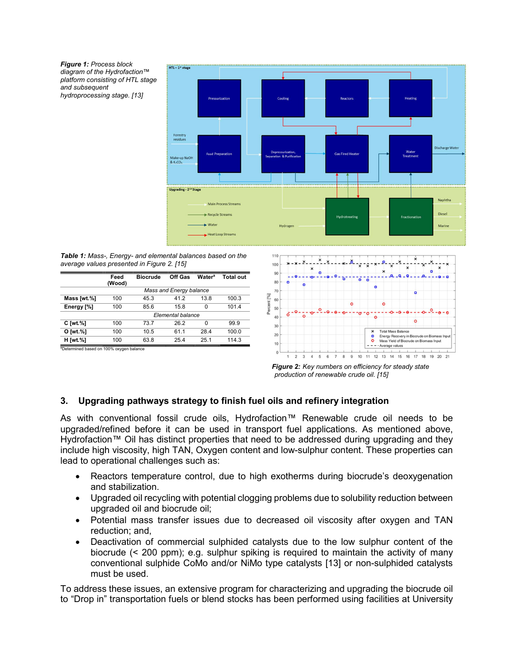Figure 1: Process block diagram of the Hydrofaction™ platform consisting of HTL stage and subsequent hydroprocessing stage. [13]



Table 1: Mass-, Energy- and elemental balances based on the average values presented in Figure 2. [15]

|                                                      | Feed<br>(Wood)          | <b>Biocrude</b> | Off Gas           | <b>Watera</b> | <b>Total out</b> |         | 90<br>80 | o | o        | n<br>ο<br>ο        |
|------------------------------------------------------|-------------------------|-----------------|-------------------|---------------|------------------|---------|----------|---|----------|--------------------|
|                                                      | Mass and Energy balance |                 |                   |               |                  |         | 70       |   |          |                    |
| Mass [wt.%]                                          | 100                     | 45.3            | 41.2              | 13.8          | 100.3            | [%]     | 60       |   |          |                    |
| Energy [%]                                           | 100                     | 85.6            | 15.8              |               | 101.4            | Percent | 50       |   |          | $\circ$<br>$\circ$ |
|                                                      |                         |                 | Elemental balance |               |                  |         | 40       |   | $\Omega$ |                    |
| $C$ [wt. $%$ ]                                       | 100                     | 73.7            | 26.2              | <sup>0</sup>  | 99.9             |         | 30       |   |          |                    |
| O [wt.%]                                             | 100                     | 10.5            | 61.1              | 28.4          | 100.0            |         | 20       |   |          |                    |
| <b>H</b> [wt.%]                                      | 100                     | 63.8            | 25.4              | 25.1          | 114.3            |         | 10       |   |          |                    |
| <sup>a</sup> Determined based on 100% oxygen balance |                         |                 |                   |               |                  |         |          |   |          |                    |



Figure 2: Key numbers on efficiency for steady state production of renewable crude oil. [15]

# 3. Upgrading pathways strategy to finish fuel oils and refinery integration

As with conventional fossil crude oils, Hydrofaction™ Renewable crude oil needs to be upgraded/refined before it can be used in transport fuel applications. As mentioned above, Hydrofaction™ Oil has distinct properties that need to be addressed during upgrading and they include high viscosity, high TAN, Oxygen content and low-sulphur content. These properties can lead to operational challenges such as:

- Reactors temperature control, due to high exotherms during biocrude's deoxygenation and stabilization.
- Upgraded oil recycling with potential clogging problems due to solubility reduction between upgraded oil and biocrude oil;
- Potential mass transfer issues due to decreased oil viscosity after oxygen and TAN reduction; and,
- Deactivation of commercial sulphided catalysts due to the low sulphur content of the biocrude (< 200 ppm); e.g. sulphur spiking is required to maintain the activity of many conventional sulphide CoMo and/or NiMo type catalysts [13] or non-sulphided catalysts must be used.

To address these issues, an extensive program for characterizing and upgrading the biocrude oil to "Drop in" transportation fuels or blend stocks has been performed using facilities at University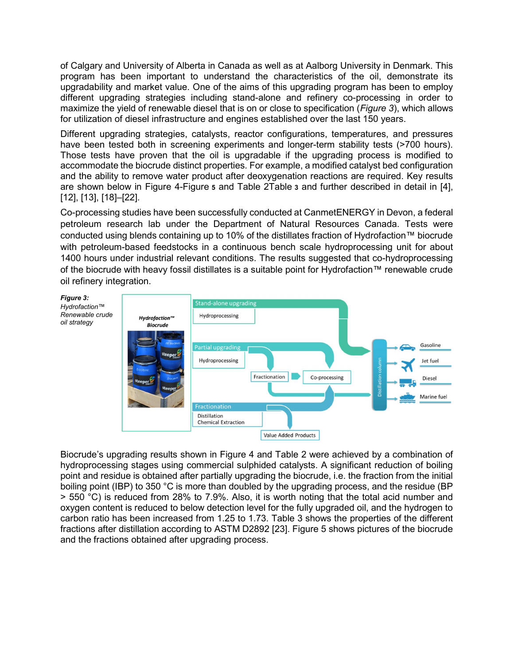of Calgary and University of Alberta in Canada as well as at Aalborg University in Denmark. This program has been important to understand the characteristics of the oil, demonstrate its upgradability and market value. One of the aims of this upgrading program has been to employ different upgrading strategies including stand-alone and refinery co-processing in order to maximize the yield of renewable diesel that is on or close to specification (Figure 3), which allows for utilization of diesel infrastructure and engines established over the last 150 years.

Different upgrading strategies, catalysts, reactor configurations, temperatures, and pressures have been tested both in screening experiments and longer-term stability tests (>700 hours). Those tests have proven that the oil is upgradable if the upgrading process is modified to accommodate the biocrude distinct properties. For example, a modified catalyst bed configuration and the ability to remove water product after deoxygenation reactions are required. Key results are shown below in Figure 4-Figure 5 and Table 2Table 3 and further described in detail in [4], [12], [13], [18]–[22].

Co-processing studies have been successfully conducted at CanmetENERGY in Devon, a federal petroleum research lab under the Department of Natural Resources Canada. Tests were conducted using blends containing up to 10% of the distillates fraction of Hydrofaction™ biocrude with petroleum-based feedstocks in a continuous bench scale hydroprocessing unit for about 1400 hours under industrial relevant conditions. The results suggested that co-hydroprocessing of the biocrude with heavy fossil distillates is a suitable point for Hydrofaction™ renewable crude oil refinery integration.



Biocrude's upgrading results shown in Figure 4 and Table 2 were achieved by a combination of hydroprocessing stages using commercial sulphided catalysts. A significant reduction of boiling point and residue is obtained after partially upgrading the biocrude, i.e. the fraction from the initial boiling point (IBP) to 350 °C is more than doubled by the upgrading process, and the residue (BP > 550 °C) is reduced from 28% to 7.9%. Also, it is worth noting that the total acid number and oxygen content is reduced to below detection level for the fully upgraded oil, and the hydrogen to carbon ratio has been increased from 1.25 to 1.73. Table 3 shows the properties of the different fractions after distillation according to ASTM D2892 [23]. Figure 5 shows pictures of the biocrude and the fractions obtained after upgrading process.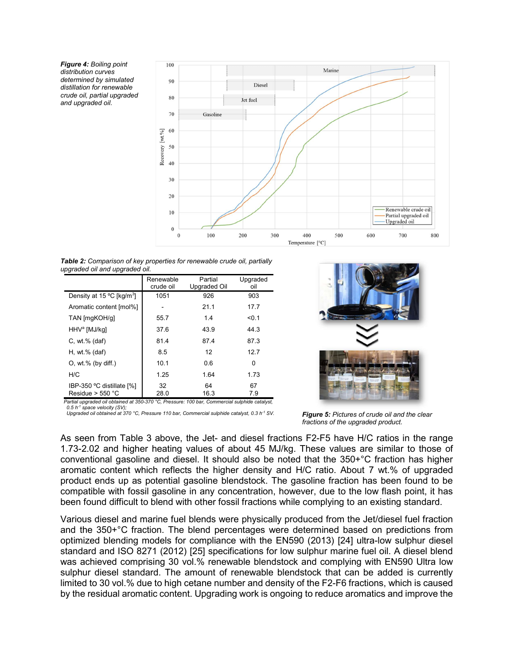Figure 4: Boiling point distribution curves determined by simulated distillation for renewable crude oil, partial upgraded and upgraded oil.



Table 2: Comparison of key properties for renewable crude oil, partially upgraded oil and upgraded oil.

| Renewable<br>crude oil | Partial<br><b>Upgraded Oil</b> | Upgraded<br>oil |  |
|------------------------|--------------------------------|-----------------|--|
| 1051                   | 926                            | 903             |  |
|                        | 21.1                           | 17.7            |  |
| 55.7                   | 1.4                            | < 0.1           |  |
| 37.6                   | 43.9                           | 44.3            |  |
| 81.4                   | 87.4                           | 87.3            |  |
| 8.5                    | 12                             | 12.7            |  |
| 10.1                   | 0.6                            | $\Omega$        |  |
| 1.25                   | 1.64                           | 1.73            |  |
| 32<br>28.0             | 64<br>16.3                     | 67<br>7.9       |  |
|                        |                                |                 |  |

Partial upgraded oil obtained at 350-370 °C, Pressure: 100 bar, Commercial sulphide 0.5  $h^{-1}$  space velocity (SV); Upgraded oil obtained at 370 °C, Pressure 110 bar, Commercial sulphide catalyst, 0.3 h<sup>-1</sup> SV.



 $F$ <sup>1</sup> SV. **Figure 5:** Pictures of crude oil and the clear fractions of the upgraded product.

As seen from Table 3 above, the Jet- and diesel fractions F2-F5 have H/C ratios in the range 1.73-2.02 and higher heating values of about 45 MJ/kg. These values are similar to those of conventional gasoline and diesel. It should also be noted that the 350+°C fraction has higher aromatic content which reflects the higher density and H/C ratio. About 7 wt.% of upgraded product ends up as potential gasoline blendstock. The gasoline fraction has been found to be compatible with fossil gasoline in any concentration, however, due to the low flash point, it has been found difficult to blend with other fossil fractions while complying to an existing standard.

Various diesel and marine fuel blends were physically produced from the Jet/diesel fuel fraction and the 350+°C fraction. The blend percentages were determined based on predictions from optimized blending models for compliance with the EN590 (2013) [24] ultra-low sulphur diesel standard and ISO 8271 (2012) [25] specifications for low sulphur marine fuel oil. A diesel blend was achieved comprising 30 vol.% renewable blendstock and complying with EN590 Ultra low sulphur diesel standard. The amount of renewable blendstock that can be added is currently limited to 30 vol.% due to high cetane number and density of the F2-F6 fractions, which is caused by the residual aromatic content. Upgrading work is ongoing to reduce aromatics and improve the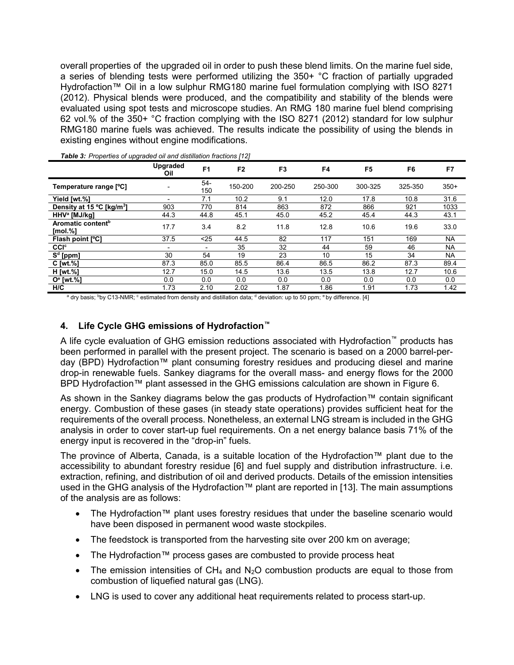overall properties of the upgraded oil in order to push these blend limits. On the marine fuel side, a series of blending tests were performed utilizing the 350+ °C fraction of partially upgraded Hydrofaction™ Oil in a low sulphur RMG180 marine fuel formulation complying with ISO 8271 (2012). Physical blends were produced, and the compatibility and stability of the blends were evaluated using spot tests and microscope studies. An RMG 180 marine fuel blend comprising 62 vol.% of the 350+ °C fraction complying with the ISO 8271 (2012) standard for low sulphur RMG180 marine fuels was achieved. The results indicate the possibility of using the blends in existing engines without engine modifications.

|                                              | Upgraded<br>Oil | F <sub>1</sub>           | F <sub>2</sub> | F <sub>3</sub> | F4      | F <sub>5</sub> | F6      | F7        |
|----------------------------------------------|-----------------|--------------------------|----------------|----------------|---------|----------------|---------|-----------|
| Temperature range [°C]                       |                 | 54-<br>150               | 150-200        | 200-250        | 250-300 | 300-325        | 325-350 | $350+$    |
| Yield [wt.%]                                 |                 | 7.1                      | 10.2           | 9.1            | 12.0    | 17.8           | 10.8    | 31.6      |
| Density at 15 °C [kg/m <sup>3</sup> ]        | 903             | 770                      | 814            | 863            | 872     | 866            | 921     | 1033      |
| HHV <sup>a</sup> [MJ/kg]                     | 44.3            | 44.8                     | 45.1           | 45.0           | 45.2    | 45.4           | 44.3    | 43.1      |
| Aromatic content <sup>b</sup><br>$[mol. \%]$ | 17.7            | 3.4                      | 8.2            | 11.8           | 12.8    | 10.6           | 19.6    | 33.0      |
| Flash point [°C]                             | 37.5            | $25$                     | 44.5           | 82             | 117     | 151            | 169     | <b>NA</b> |
| <b>CCI</b> c                                 |                 | $\overline{\phantom{a}}$ | 35             | 32             | 44      | 59             | 46      | <b>NA</b> |
| $Sd$ [ppm]                                   | 30              | 54                       | 19             | 23             | 10      | 15             | 34      | <b>NA</b> |
| $C$ [wt. $%$ ]                               | 87.3            | 85.0                     | 85.5           | 86.4           | 86.5    | 86.2           | 87.3    | 89.4      |
| H [wt.%]                                     | 12.7            | 15.0                     | 14.5           | 13.6           | 13.5    | 13.8           | 12.7    | 10.6      |
| $Oe$ [wt.%]                                  | 0.0             | 0.0                      | 0.0            | 0.0            | 0.0     | 0.0            | 0.0     | 0.0       |
| H/C                                          | 1.73            | 2.10                     | 2.02           | 1.87           | 1.86    | 1.91           | 1.73    | 1.42      |

Table 3: Properties of upgraded oil and distillation fractions [12]

a dry basis; <sup>b</sup>by C13-NMR; <sup>c</sup> estimated from density and distillation data; <sup>d</sup> deviation: up to 50 ppm; <sup>e</sup> by difference. [4]

#### 4. Life Cycle GHG emissions of Hydrofaction™

A life cycle evaluation of GHG emission reductions associated with Hydrofaction™ products has been performed in parallel with the present project. The scenario is based on a 2000 barrel-perday (BPD) Hydrofaction™ plant consuming forestry residues and producing diesel and marine drop-in renewable fuels. Sankey diagrams for the overall mass- and energy flows for the 2000 BPD Hvdrofaction™ plant assessed in the GHG emissions calculation are shown in Figure 6.

As shown in the Sankey diagrams below the gas products of Hydrofaction™ contain significant energy. Combustion of these gases (in steady state operations) provides sufficient heat for the requirements of the overall process. Nonetheless, an external LNG stream is included in the GHG analysis in order to cover start-up fuel requirements. On a net energy balance basis 71% of the energy input is recovered in the "drop-in" fuels.

The province of Alberta, Canada, is a suitable location of the Hydrofaction™ plant due to the accessibility to abundant forestry residue [6] and fuel supply and distribution infrastructure. i.e. extraction, refining, and distribution of oil and derived products. Details of the emission intensities used in the GHG analysis of the Hydrofaction™ plant are reported in [13]. The main assumptions of the analysis are as follows:

- The Hydrofaction™ plant uses forestry residues that under the baseline scenario would have been disposed in permanent wood waste stockpiles.
- The feedstock is transported from the harvesting site over 200 km on average;
- The Hydrofaction™ process gases are combusted to provide process heat
- The emission intensities of  $CH_4$  and  $N_2O$  combustion products are equal to those from combustion of liquefied natural gas (LNG).
- LNG is used to cover any additional heat requirements related to process start-up.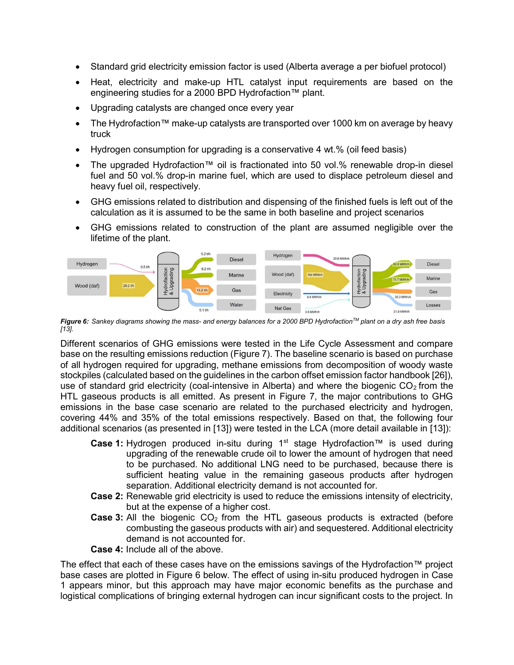- Standard grid electricity emission factor is used (Alberta average a per biofuel protocol)
- Heat, electricity and make-up HTL catalyst input requirements are based on the engineering studies for a 2000 BPD Hydrofaction™ plant.
- Upgrading catalysts are changed once every year
- The Hydrofaction™ make-up catalysts are transported over 1000 km on average by heavy truck
- Hydrogen consumption for upgrading is a conservative 4 wt.% (oil feed basis)
- The upgraded Hydrofaction™ oil is fractionated into 50 vol.% renewable drop-in diesel fuel and 50 vol.% drop-in marine fuel, which are used to displace petroleum diesel and heavy fuel oil, respectively.
- GHG emissions related to distribution and dispensing of the finished fuels is left out of the calculation as it is assumed to be the same in both baseline and project scenarios
- GHG emissions related to construction of the plant are assumed negligible over the lifetime of the plant.



Figure 6: Sankey diagrams showing the mass- and energy balances for a 2000 BPD Hydrofaction<sup>TM</sup> plant on a dry ash free basis [13].

Different scenarios of GHG emissions were tested in the Life Cycle Assessment and compare base on the resulting emissions reduction (Figure 7). The baseline scenario is based on purchase of all hydrogen required for upgrading, methane emissions from decomposition of woody waste stockpiles (calculated based on the guidelines in the carbon offset emission factor handbook [26]), use of standard grid electricity (coal-intensive in Alberta) and where the biogenic  $CO<sub>2</sub>$  from the HTL gaseous products is all emitted. As present in Figure 7, the major contributions to GHG emissions in the base case scenario are related to the purchased electricity and hydrogen, covering 44% and 35% of the total emissions respectively. Based on that, the following four additional scenarios (as presented in [13]) were tested in the LCA (more detail available in [13]):

- Case 1: Hydrogen produced in-situ during 1<sup>st</sup> stage Hydrofaction™ is used during upgrading of the renewable crude oil to lower the amount of hydrogen that need to be purchased. No additional LNG need to be purchased, because there is sufficient heating value in the remaining gaseous products after hydrogen separation. Additional electricity demand is not accounted for.
- Case 2: Renewable grid electricity is used to reduce the emissions intensity of electricity, but at the expense of a higher cost.
- **Case 3:** All the biogenic  $CO<sub>2</sub>$  from the HTL gaseous products is extracted (before combusting the gaseous products with air) and sequestered. Additional electricity demand is not accounted for.

Case 4: Include all of the above.

The effect that each of these cases have on the emissions savings of the Hydrofaction™ project base cases are plotted in Figure 6 below. The effect of using in-situ produced hydrogen in Case 1 appears minor, but this approach may have major economic benefits as the purchase and logistical complications of bringing external hydrogen can incur significant costs to the project. In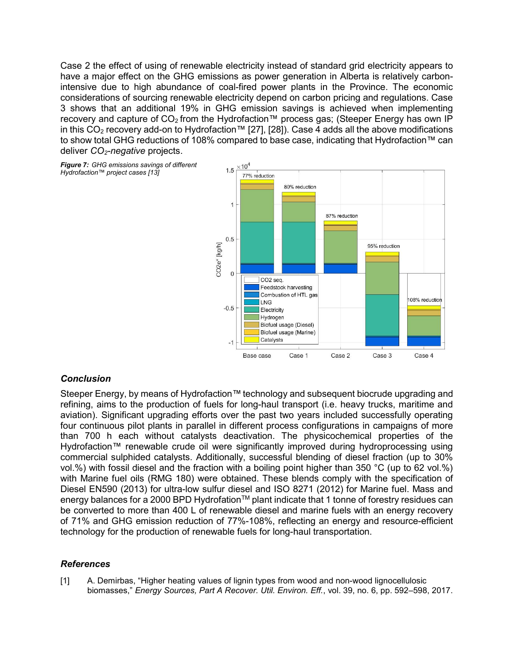Case 2 the effect of using of renewable electricity instead of standard grid electricity appears to have a major effect on the GHG emissions as power generation in Alberta is relatively carbonintensive due to high abundance of coal-fired power plants in the Province. The economic considerations of sourcing renewable electricity depend on carbon pricing and regulations. Case 3 shows that an additional 19% in GHG emission savings is achieved when implementing recovery and capture of  $CO<sub>2</sub>$  from the Hydrofaction™ process gas; (Steeper Energy has own IP in this CO<sub>2</sub> recovery add-on to Hydrofaction™ [27], [28]). Case 4 adds all the above modifications to show total GHG reductions of 108% compared to base case, indicating that Hydrofaction™ can deliver  $CO<sub>2</sub>$ -negative projects.

Figure 7: GHG emissions savings of different Hydrofaction™ project cases [13]



# **Conclusion**

Steeper Energy, by means of Hydrofaction™ technology and subsequent biocrude upgrading and refining, aims to the production of fuels for long-haul transport (i.e. heavy trucks, maritime and aviation). Significant upgrading efforts over the past two years included successfully operating four continuous pilot plants in parallel in different process configurations in campaigns of more than 700 h each without catalysts deactivation. The physicochemical properties of the Hydrofaction™ renewable crude oil were significantly improved during hydroprocessing using commercial sulphided catalysts. Additionally, successful blending of diesel fraction (up to 30% vol.%) with fossil diesel and the fraction with a boiling point higher than 350 °C (up to 62 vol.%) with Marine fuel oils (RMG 180) were obtained. These blends comply with the specification of Diesel EN590 (2013) for ultra-low sulfur diesel and ISO 8271 (2012) for Marine fuel. Mass and energy balances for a 2000 BPD Hydrofation™ plant indicate that 1 tonne of forestry residues can be converted to more than 400 L of renewable diesel and marine fuels with an energy recovery of 71% and GHG emission reduction of 77%-108%, reflecting an energy and resource-efficient technology for the production of renewable fuels for long-haul transportation.

# References

[1] A. Demirbas, "Higher heating values of lignin types from wood and non-wood lignocellulosic biomasses," Energy Sources, Part A Recover. Util. Environ. Eff., vol. 39, no. 6, pp. 592-598, 2017.